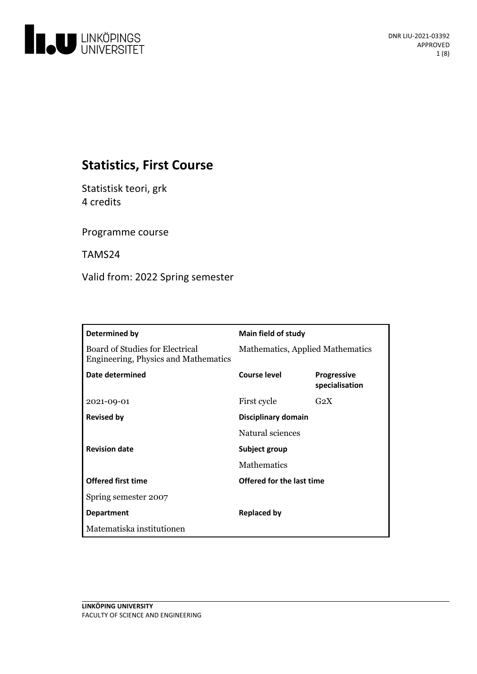

# **Statistics, First Course**

Statistisk teori, grk 4 credits

Programme course

TAMS24

Valid from: 2022 Spring semester

| Determined by                                                                  | <b>Main field of study</b>       |                                      |
|--------------------------------------------------------------------------------|----------------------------------|--------------------------------------|
| <b>Board of Studies for Electrical</b><br>Engineering, Physics and Mathematics | Mathematics, Applied Mathematics |                                      |
| Date determined                                                                | Course level                     | <b>Progressive</b><br>specialisation |
| 2021-09-01                                                                     | First cycle                      | $G_2X$                               |
| <b>Revised by</b>                                                              | Disciplinary domain              |                                      |
|                                                                                | Natural sciences                 |                                      |
| <b>Revision date</b>                                                           | Subject group                    |                                      |
|                                                                                | <b>Mathematics</b>               |                                      |
| <b>Offered first time</b>                                                      | Offered for the last time        |                                      |
| Spring semester 2007                                                           |                                  |                                      |
| <b>Department</b>                                                              | <b>Replaced by</b>               |                                      |
| Matematiska institutionen                                                      |                                  |                                      |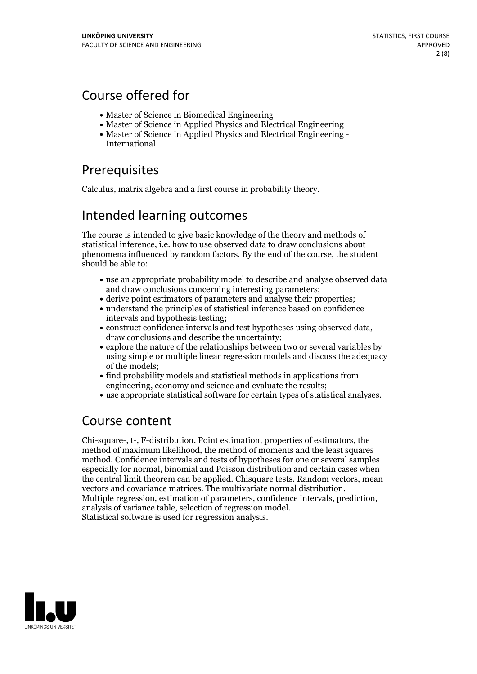# Course offered for

- Master of Science in Biomedical Engineering
- Master of Science in Applied Physics and Electrical Engineering
- Master of Science in Applied Physics and Electrical Engineering International

# **Prerequisites**

Calculus, matrix algebra and a first course in probability theory.

## Intended learning outcomes

The course is intended to give basic knowledge of the theory and methods of statistical inference, i.e. how to use observed data to draw conclusions about phenomena influenced by random factors. By the end of the course, the student should be able to:

- use an appropriate probability model to describe and analyse observed data and draw conclusions concerning interesting parameters;
- derive point estimators of parameters and analyse their properties;
- understand the principles of statistical inference based on confidence intervals and hypothesis testing;
- construct confidence intervals and test hypotheses using observed data, draw conclusions and describe the uncertainty;
- explore the nature of the relationships between two or several variables by using simple or multiple linear regression models and discuss the adequacy of the models;
- find probability models and statistical methods in applications from engineering, economy and science and evaluate the results;
- use appropriate statistical software for certain types of statistical analyses.

## Course content

Chi-square-, t-, F-distribution. Point estimation, properties of estimators, the method of maximum likelihood, the method of moments and the least squares method. Confidence intervals and tests of hypotheses for one or several samples especially for normal, binomial and Poisson distribution and certain cases when the central limit theorem can be applied. Chisquare tests. Random vectors, mean vectors and covariance matrices. The multivariate normal distribution. Multiple regression, estimation of parameters, confidence intervals, prediction, analysis of variance table, selection of regression model.<br>Statistical software is used for regression analysis.

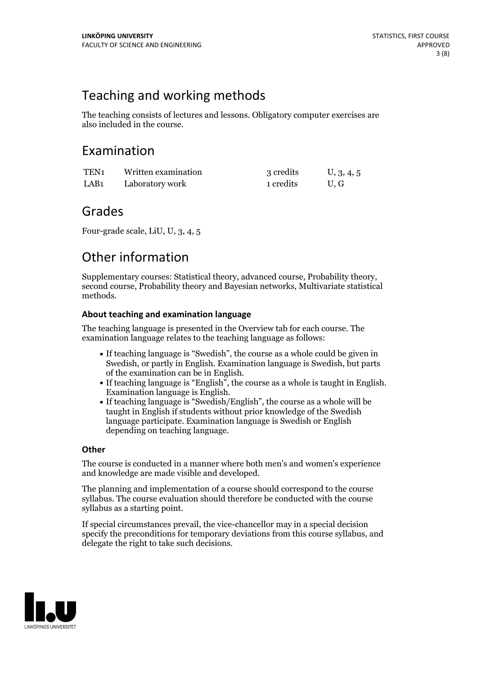## Teaching and working methods

The teaching consists of lectures and lessons. Obligatory computer exercises are also included in the course.

## Examination

| TEN <sub>1</sub> | Written examination | 3 credits | U, 3, 4, 5 |
|------------------|---------------------|-----------|------------|
| LAB <sub>1</sub> | Laboratory work     | 1 credits | U.G        |

## Grades

Four-grade scale, LiU, U, 3, 4, 5

# Other information

Supplementary courses: Statistical theory, advanced course, Probability theory, second course, Probability theory and Bayesian networks, Multivariate statistical methods.

## **About teaching and examination language**

The teaching language is presented in the Overview tab for each course. The examination language relates to the teaching language as follows:

- If teaching language is "Swedish", the course as a whole could be given in Swedish, or partly in English. Examination language is Swedish, but parts
- of the examination can be in English. If teaching language is "English", the course as <sup>a</sup> whole is taught in English. Examination language is English. If teaching language is "Swedish/English", the course as <sup>a</sup> whole will be
- taught in English if students without prior knowledge of the Swedish language participate. Examination language is Swedish or English depending on teaching language.

### **Other**

The course is conducted in a manner where both men's and women's experience and knowledge are made visible and developed.

The planning and implementation of a course should correspond to the course syllabus. The course evaluation should therefore be conducted with the course syllabus as a starting point.

If special circumstances prevail, the vice-chancellor may in a special decision specify the preconditions for temporary deviations from this course syllabus, and delegate the right to take such decisions.

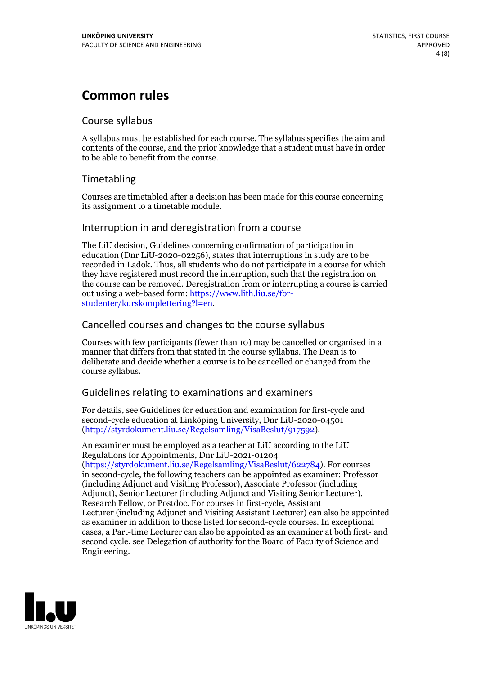# **Common rules**

### Course syllabus

A syllabus must be established for each course. The syllabus specifies the aim and contents of the course, and the prior knowledge that a student must have in order to be able to benefit from the course.

## Timetabling

Courses are timetabled after a decision has been made for this course concerning its assignment to a timetable module.

### Interruption in and deregistration from a course

The LiU decision, Guidelines concerning confirmation of participation in education (Dnr LiU-2020-02256), states that interruptions in study are to be recorded in Ladok. Thus, all students who do not participate in a course for which they have registered must record the interruption, such that the registration on the course can be removed. Deregistration from or interrupting a course is carried out using <sup>a</sup> web-based form: https://www.lith.liu.se/for- [studenter/kurskomplettering?l=en.](https://www.lith.liu.se/for-studenter/kurskomplettering?l=en)

## Cancelled courses and changes to the course syllabus

Courses with few participants (fewer than 10) may be cancelled or organised in a manner that differs from that stated in the course syllabus. The Dean is to deliberate and decide whether a course is to be cancelled or changed from the course syllabus.

## Guidelines relating to examinations and examiners

For details, see Guidelines for education and examination for first-cycle and second-cycle education at Linköping University, Dnr LiU-2020-04501 [\(http://styrdokument.liu.se/Regelsamling/VisaBeslut/917592\)](http://styrdokument.liu.se/Regelsamling/VisaBeslut/917592).

An examiner must be employed as a teacher at LiU according to the LiU Regulations for Appointments, Dnr LiU-2021-01204 [\(https://styrdokument.liu.se/Regelsamling/VisaBeslut/622784](https://styrdokument.liu.se/Regelsamling/VisaBeslut/622784)). For courses in second-cycle, the following teachers can be appointed as examiner: Professor (including Adjunct and Visiting Professor), Associate Professor (including Adjunct), Senior Lecturer (including Adjunct and Visiting Senior Lecturer), Research Fellow, or Postdoc. For courses in first-cycle, Assistant Lecturer (including Adjunct and Visiting Assistant Lecturer) can also be appointed as examiner in addition to those listed for second-cycle courses. In exceptional cases, a Part-time Lecturer can also be appointed as an examiner at both first- and second cycle, see Delegation of authority for the Board of Faculty of Science and Engineering.

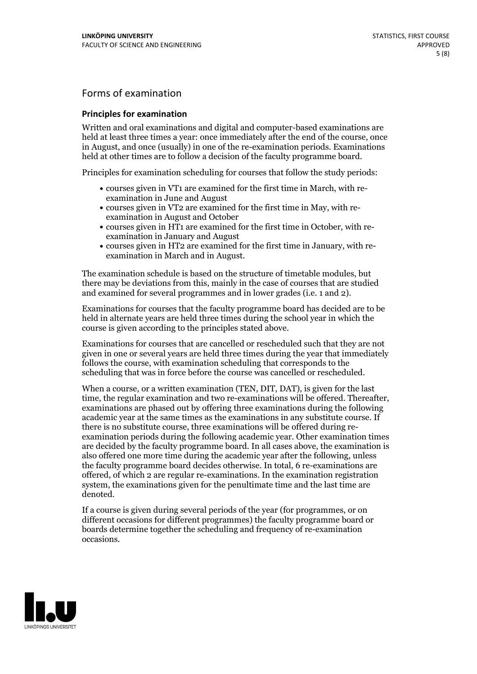## Forms of examination

#### **Principles for examination**

Written and oral examinations and digital and computer-based examinations are held at least three times a year: once immediately after the end of the course, once in August, and once (usually) in one of the re-examination periods. Examinations held at other times are to follow a decision of the faculty programme board.

Principles for examination scheduling for courses that follow the study periods:

- courses given in VT1 are examined for the first time in March, with re-examination in June and August
- courses given in VT2 are examined for the first time in May, with re-examination in August and October
- courses given in HT1 are examined for the first time in October, with re-examination in January and August
- courses given in HT2 are examined for the first time in January, with re-examination in March and in August.

The examination schedule is based on the structure of timetable modules, but there may be deviations from this, mainly in the case of courses that are studied and examined for several programmes and in lower grades (i.e. 1 and 2).

Examinations for courses that the faculty programme board has decided are to be held in alternate years are held three times during the school year in which the course is given according to the principles stated above.

Examinations for courses that are cancelled orrescheduled such that they are not given in one or several years are held three times during the year that immediately follows the course, with examination scheduling that corresponds to the scheduling that was in force before the course was cancelled or rescheduled.

When a course, or a written examination (TEN, DIT, DAT), is given for the last time, the regular examination and two re-examinations will be offered. Thereafter, examinations are phased out by offering three examinations during the following academic year at the same times as the examinations in any substitute course. If there is no substitute course, three examinations will be offered during re- examination periods during the following academic year. Other examination times are decided by the faculty programme board. In all cases above, the examination is also offered one more time during the academic year after the following, unless the faculty programme board decides otherwise. In total, 6 re-examinations are offered, of which 2 are regular re-examinations. In the examination registration system, the examinations given for the penultimate time and the last time are denoted.

If a course is given during several periods of the year (for programmes, or on different occasions for different programmes) the faculty programme board or boards determine together the scheduling and frequency of re-examination occasions.

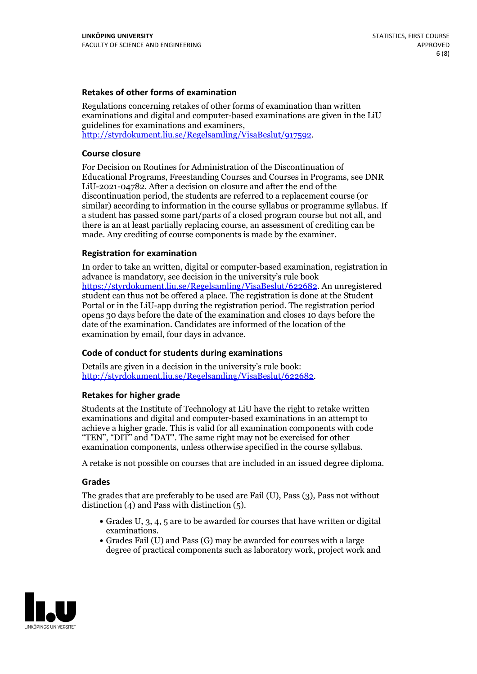### **Retakes of other forms of examination**

Regulations concerning retakes of other forms of examination than written examinations and digital and computer-based examinations are given in the LiU guidelines for examinations and examiners, [http://styrdokument.liu.se/Regelsamling/VisaBeslut/917592.](http://styrdokument.liu.se/Regelsamling/VisaBeslut/917592)

#### **Course closure**

For Decision on Routines for Administration of the Discontinuation of Educational Programs, Freestanding Courses and Courses in Programs, see DNR LiU-2021-04782. After a decision on closure and after the end of the discontinuation period, the students are referred to a replacement course (or similar) according to information in the course syllabus or programme syllabus. If a student has passed some part/parts of a closed program course but not all, and there is an at least partially replacing course, an assessment of crediting can be made. Any crediting of course components is made by the examiner.

#### **Registration for examination**

In order to take an written, digital or computer-based examination, registration in advance is mandatory, see decision in the university's rule book [https://styrdokument.liu.se/Regelsamling/VisaBeslut/622682.](https://styrdokument.liu.se/Regelsamling/VisaBeslut/622682) An unregistered student can thus not be offered a place. The registration is done at the Student Portal or in the LiU-app during the registration period. The registration period opens 30 days before the date of the examination and closes 10 days before the date of the examination. Candidates are informed of the location of the examination by email, four days in advance.

#### **Code of conduct for students during examinations**

Details are given in a decision in the university's rule book: <http://styrdokument.liu.se/Regelsamling/VisaBeslut/622682>.

#### **Retakes for higher grade**

Students at the Institute of Technology at LiU have the right to retake written examinations and digital and computer-based examinations in an attempt to achieve a higher grade. This is valid for all examination components with code "TEN", "DIT" and "DAT". The same right may not be exercised for other examination components, unless otherwise specified in the course syllabus.

A retake is not possible on courses that are included in an issued degree diploma.

#### **Grades**

The grades that are preferably to be used are Fail (U), Pass (3), Pass not without distinction  $(4)$  and Pass with distinction  $(5)$ .

- Grades U, 3, 4, 5 are to be awarded for courses that have written or digital examinations.<br>• Grades Fail (U) and Pass (G) may be awarded for courses with a large
- degree of practical components such as laboratory work, project work and

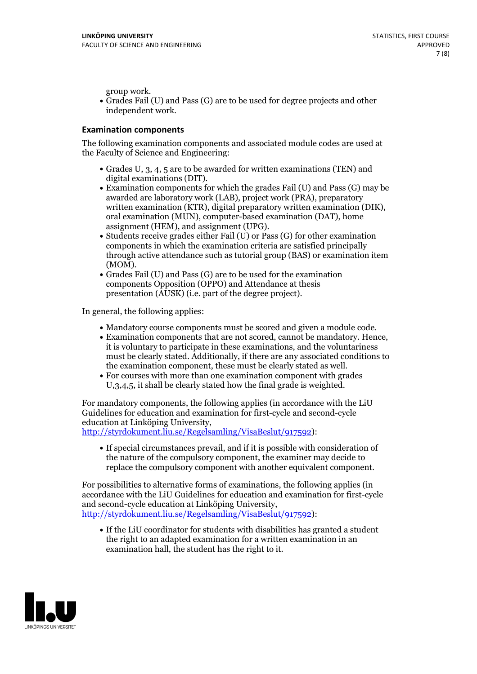group work.<br>• Grades Fail (U) and Pass (G) are to be used for degree projects and other independent work.

### **Examination components**

The following examination components and associated module codes are used at the Faculty of Science and Engineering:

- Grades U, 3, 4, 5 are to be awarded for written examinations (TEN) and
- digital examinations (DIT).<br>• Examination components for which the grades Fail (U) and Pass (G) may be awarded are laboratory work (LAB), project work (PRA), preparatory written examination (KTR), digital preparatory written examination (DIK), oral examination (MUN), computer-based examination (DAT), home
- assignment (HEM), and assignment (UPG).<br>• Students receive grades either Fail (U) or Pass (G) for other examination components in which the examination criteria are satisfied principally through active attendance such as tutorial group (BAS) or examination item
- (MOM).<br>• Grades Fail (U) and Pass (G) are to be used for the examination components Opposition (OPPO) and Attendance at thesis presentation (AUSK) (i.e. part of the degree project).

In general, the following applies:

- 
- Mandatory course components must be scored and given <sup>a</sup> module code. Examination components that are not scored, cannot be mandatory. Hence, it is voluntary to participate in these examinations, and the voluntariness must be clearly stated. Additionally, if there are any associated conditions to
- the examination component, these must be clearly stated as well.<br>• For courses with more than one examination component with grades U,3,4,5, it shall be clearly stated how the final grade is weighted.

For mandatory components, the following applies (in accordance with the LiU Guidelines for education and examination for first-cycle and second-cycle education at Linköping University,<br>[http://styrdokument.liu.se/Regelsamling/VisaBeslut/917592\)](http://styrdokument.liu.se/Regelsamling/VisaBeslut/917592):

If special circumstances prevail, and if it is possible with consideration of the nature of the compulsory component, the examiner may decide to replace the compulsory component with another equivalent component.

For possibilities to alternative forms of examinations, the following applies (in accordance with the LiU Guidelines for education and examination for first-cycle [http://styrdokument.liu.se/Regelsamling/VisaBeslut/917592\)](http://styrdokument.liu.se/Regelsamling/VisaBeslut/917592):

If the LiU coordinator for students with disabilities has granted a student the right to an adapted examination for a written examination in an examination hall, the student has the right to it.